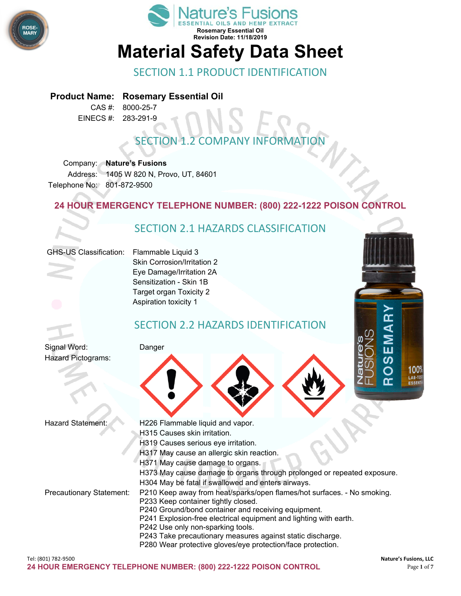



#### SECTION 1.1 PRODUCT IDENTIFICATION

#### **Product Name: Rosemary Essential Oil**

CAS #: 8000-25-7 EINECS #: 283-291-9

### **SECTION 1.2 COMPANY INFORMAT**

Company: **Nature's Fusions** Address: 1405 W 820 N, Provo, UT, 84601 Telephone No: 801-872-9500

#### **24 HOUR EMERGENCY TELEPHONE NUMBER: (800) 222-1222 POISON CONTROL**

#### SECTION 2.1 HAZARDS CLASSIFICATION GHS-US Classification: Flammable Liquid 3 Skin Corrosion/Irritation 2 Eye Damage/Irritation 2A Sensitization - Skin 1B Target organ Toxicity 2 Aspiration toxicity 1 <u>n </u> SECTION 2.2 HAZARDS IDENTIFICATION Signal Word: Danger Ш Hazard Pictograms: 100° LAB-TES

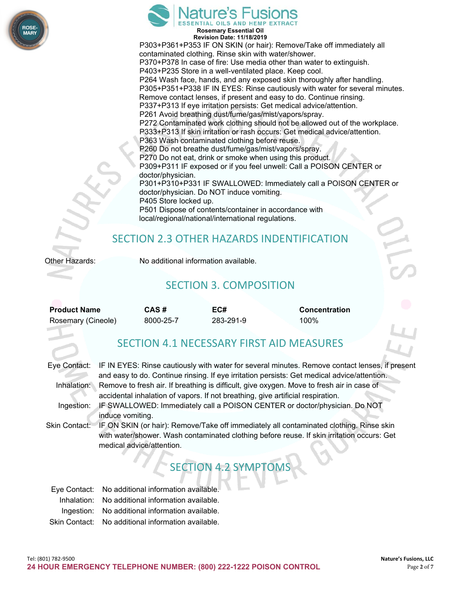



**Revision Date: 11/18/2019** P303+P361+P353 IF ON SKIN (or hair): Remove/Take off immediately all contaminated clothing. Rinse skin with water/shower. P370+P378 In case of fire: Use media other than water to extinguish. P403+P235 Store in a well-ventilated place. Keep cool. P264 Wash face, hands, and any exposed skin thoroughly after handling. P305+P351+P338 IF IN EYES: Rinse cautiously with water for several minutes. Remove contact lenses, if present and easy to do. Continue rinsing. P337+P313 If eye irritation persists: Get medical advice/attention. P261 Avoid breathing dust/fume/gas/mist/vapors/spray. P272 Contaminated work clothing should not be allowed out of the workplace. P333+P313 If skin irritation or rash occurs: Get medical advice/attention. P363 Wash contaminated clothing before reuse. P260 Do not breathe dust/fume/gas/mist/vapors/spray. P270 Do not eat, drink or smoke when using this product. P309+P311 IF exposed or if you feel unwell: Call a POISON CENTER or doctor/physician. P301+P310+P331 IF SWALLOWED: Immediately call a POISON CENTER or doctor/physician. Do NOT induce vomiting. P405 Store locked up. P501 Dispose of contents/container in accordance with local/regional/national/international regulations.

#### SECTION 2.3 OTHER HAZARDS INDENTIFICATION

Other Hazards: No additional information available.

#### SECTION 3. COMPOSITION

| <b>Product Name</b> | CAS#      | EC#       | <b>Concentration</b> |
|---------------------|-----------|-----------|----------------------|
| Rosemary (Cineole)  | 8000-25-7 | 283-291-9 | 100%                 |

#### SECTION 4.1 NECESSARY FIRST AID MEASURES

|               | Eye Contact: IF IN EYES: Rinse cautiously with water for several minutes. Remove contact lenses, if present<br>and easy to do. Continue rinsing. If eye irritation persists: Get medical advice/attention.         |
|---------------|--------------------------------------------------------------------------------------------------------------------------------------------------------------------------------------------------------------------|
|               | Inhalation: Remove to fresh air. If breathing is difficult, give oxygen. Move to fresh air in case of                                                                                                              |
|               | accidental inhalation of vapors. If not breathing, give artificial respiration.                                                                                                                                    |
| Ingestion:    | IF SWALLOWED: Immediately call a POISON CENTER or doctor/physician. Do NOT                                                                                                                                         |
|               | induce vomiting.                                                                                                                                                                                                   |
| Skin Contact: | IF ON SKIN (or hair): Remove/Take off immediately all contaminated clothing. Rinse skin<br>with water/shower. Wash contaminated clothing before reuse. If skin irritation occurs: Get<br>medical advice/attention. |
|               |                                                                                                                                                                                                                    |

# T ESECTION 4.2

| Eye Contact: No additional information available.  |
|----------------------------------------------------|
| Inhalation: No additional information available.   |
| Ingestion: No additional information available.    |
| Skin Contact: No additional information available. |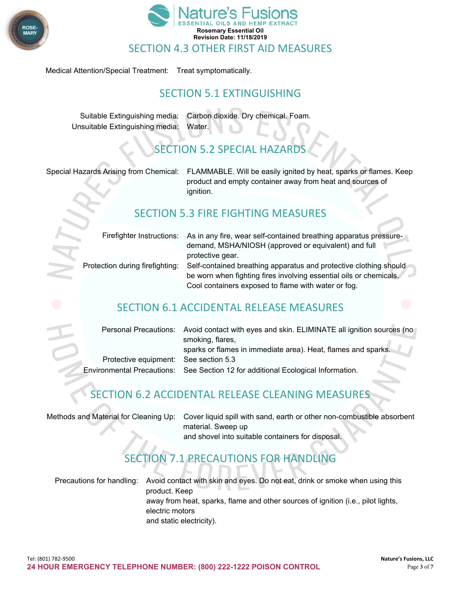



Medical Attention/Special Treatment: Treat symptomatically.

#### SECTION 5.1 EXTINGUISHING

Suitable Extinguishing media: Carbon dioxide. Dry chemical. Foam. Unsuitable Extinguishing media: Water.

#### **SECTION 5.2 SPECIAL HAZARD**

Special Hazards Arising from Chemical: FLAMMABLE. Will be easily ignited by heat, sparks or flames. Keep product and empty container away from heat and sources of ignition.

#### SECTION 5.3 FIRE FIGHTING MEASURES

|                                 | Firefighter Instructions: As in any fire, wear self-contained breathing apparatus pressure- |
|---------------------------------|---------------------------------------------------------------------------------------------|
|                                 | demand, MSHA/NIOSH (approved or equivalent) and full                                        |
|                                 | protective gear.                                                                            |
| Protection during firefighting: | Self-contained breathing apparatus and protective clothing should                           |
|                                 | be worn when fighting fires involving essential oils or chemicals.                          |
|                                 | Cool containers exposed to flame with water or fog.                                         |
|                                 |                                                                                             |

#### SECTION 6.1 ACCIDENTAL RELEASE MEASURES

|                                       | Personal Precautions: Avoid contact with eyes and skin. ELIMINATE all ignition sources (no |  |
|---------------------------------------|--------------------------------------------------------------------------------------------|--|
|                                       | smoking, flares,                                                                           |  |
|                                       | sparks or flames in immediate area). Heat, flames and sparks.                              |  |
| Protective equipment: See section 5.3 |                                                                                            |  |
|                                       | Environmental Precautions: See Section 12 for additional Ecological Information.           |  |

#### SECTION 6.2 ACCIDENTAL RELEASE CLEANING MEASURES

| Methods and Material for Cleaning Up: Cover liquid spill with sand, earth or other non-combustible absorbent |
|--------------------------------------------------------------------------------------------------------------|
| material. Sweep up                                                                                           |
| and shovel into suitable containers for disposal.                                                            |

## TION 7.1 PRECAUTIONS FOR HANDLING

Precautions for handling: Avoid contact with skin and eyes. Do not eat, drink or smoke when using this product. Keep away from heat, sparks, flame and other sources of ignition (i.e., pilot lights, electric motors and static electricity).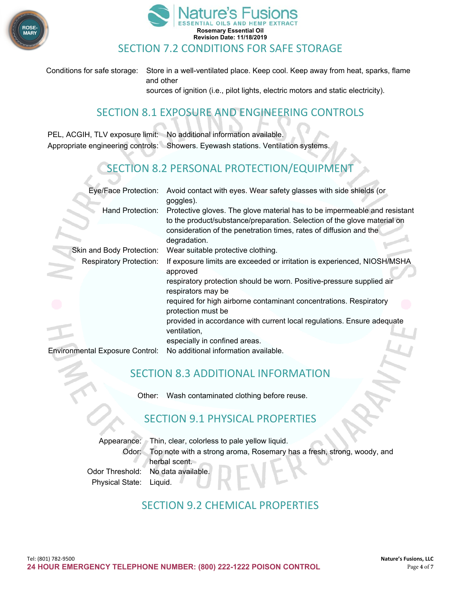

**College**  $\sim$ 



Conditions for safe storage: Store in a well-ventilated place. Keep cool. Keep away from heat, sparks, flame and other sources of ignition (i.e., pilot lights, electric motors and static electricity).

#### SECTION 8.1 EXPOSURE AND ENGINEERING CONTROLS

PEL, ACGIH, TLV exposure limit: No additional information available. Appropriate engineering controls: Showers. Eyewash stations. Ventilation systems.

#### SECTION 8.2 PERSONAL PROTECTION/EQUIPMENT

| Protective gloves. The glove material has to be impermeable and resistant |
|---------------------------------------------------------------------------|
|                                                                           |
| If exposure limits are exceeded or irritation is experienced, NIOSH/MSHA  |
|                                                                           |
|                                                                           |
|                                                                           |
|                                                                           |
|                                                                           |
|                                                                           |

#### SECTION 8.3 ADDITIONAL INFORMATION

Other: Wash contaminated clothing before reuse.

#### SECTION 9.1 PHYSICAL PROPERTIES

|                         | Appearance: Thin, clear, colorless to pale yellow liquid.                    |
|-------------------------|------------------------------------------------------------------------------|
|                         | Odor: Top note with a strong aroma, Rosemary has a fresh, strong, woody, and |
|                         | herbal scent.                                                                |
|                         | Odor Threshold: No data available.                                           |
| Physical State: Liquid. |                                                                              |

#### SECTION 9.2 CHEMICAL PROPERTIES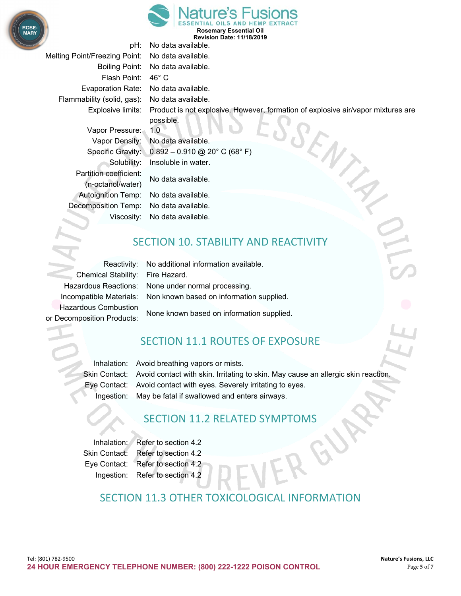



**Rosemary Essential Oil Revision Date: 11/18/2019**

pH: No data available. Melting Point/Freezing Point: No data available. Boiling Point: No data available. Flash Point: 46° C Evaporation Rate: No data available. Flammability (solid, gas): No data available. Explosive limits: Product is not explosive. However, formation of explosive air/vapor mixtures are possible. Vapor Pressure: 1.0 Vapor Density: No data available. Specific Gravity: 0.892 – 0.910 @ 20° C (68° F) Solubility: Insoluble in water. Partition coefficient: No data available. (n-octanol/water) Autoignition Temp: No data available. Decomposition Temp: No data available. Viscosity: No data available.

#### SECTION 10. STABILITY AND REACTIVITY

Chemical Stability: Fire Hazard. Hazardous Combustion

Reactivity: No additional information available. Hazardous Reactions: None under normal processing. Incompatible Materials: Non known based on information supplied.

None known based on information supplied. or Decomposition Products:

#### SECTION 11.1 ROUTES OF EXPOSURE

Inhalation: Avoid breathing vapors or mists. Skin Contact: Avoid contact with skin. Irritating to skin. May cause an allergic skin reaction. Eye Contact: Avoid contact with eyes. Severely irritating to eyes. Ingestion: May be fatal if swallowed and enters airways.

#### SECTION 11.2 RELATED SYMPTOMS

Inhalation: Refer to section 4.2 Skin Contact: Refer to section 4.2 Eye Contact: Refer to section 4.2 Ingestion: Refer to section 4.2

#### SECTION 11.3 OTHER TOXICOLOGICAL INFORMATION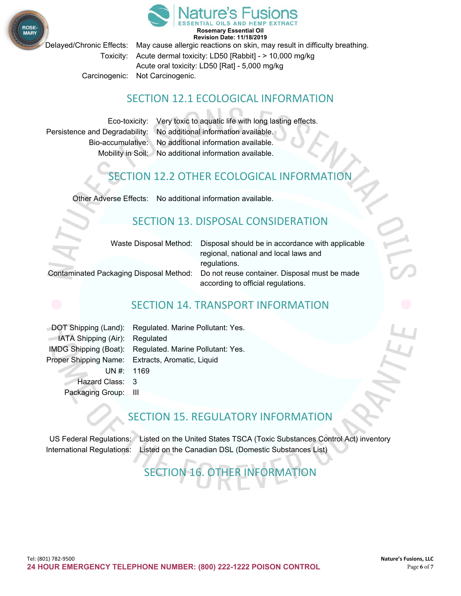

**Revision Date: 11/18/2019**

**ROSE** 

Delayed/Chronic Effects: May cause allergic reactions on skin, may result in difficulty breathing. Toxicity: Acute dermal toxicity: LD50 [Rabbit] - > 10,000 mg/kg Acute oral toxicity: LD50 [Rat] - 5,000 mg/kg Carcinogenic: Not Carcinogenic.

#### SECTION 12.1 ECOLOGICAL INFORMATION

Eco-toxicity: Very toxic to aquatic life with long lasting effects. Persistence and Degradability: No additional information available. Bio-accumulative: No additional information available. Mobility in Soil: No additional information available.

#### SECTION 12.2 OTHER ECOLOGICAL INFORMATION

Other Adverse Effects: No additional information available.

#### SECTION 13. DISPOSAL CONSIDERATION

Waste Disposal Method: Disposal should be in accordance with applicable regional, national and local laws and regulations.

Contaminated Packaging Disposal Method: Do not reuse container. Disposal must be made according to official regulations.

#### SECTION 14. TRANSPORT INFORMATION

DOT Shipping (Land): Regulated. Marine Pollutant: Yes. **IATA Shipping (Air): Regulated** IMDG Shipping (Boat): Regulated. Marine Pollutant: Yes. Proper Shipping Name: Extracts, Aromatic, Liquid UN #: 1169 Hazard Class: 3 Packaging Group: III

#### SECTION 15. REGULATORY INFORMATION

US Federal Regulations: Listed on the United States TSCA (Toxic Substances Control Act) inventory International Regulations: Listed on the Canadian DSL (Domestic Substances List)

### SECTION 16. OTHER INFORMATION